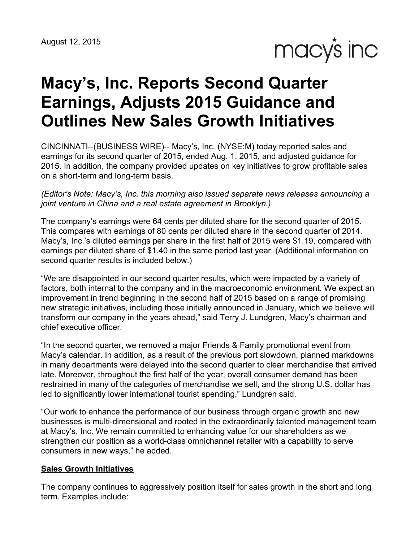

# **Macy's, Inc. Reports Second Quarter Earnings, Adjusts 2015 Guidance and Outlines New Sales Growth Initiatives**

CINCINNATI--(BUSINESS WIRE)-- Macy's, Inc. (NYSE:M) today reported sales and earnings for its second quarter of 2015, ended Aug. 1, 2015, and adjusted guidance for 2015. In addition, the company provided updates on key initiatives to grow profitable sales on a short-term and long-term basis.

#### *(Editor's Note: Macy's, Inc. this morning also issued separate news releases announcing a joint venture in China and a real estate agreement in Brooklyn.)*

The company's earnings were 64 cents per diluted share for the second quarter of 2015. This compares with earnings of 80 cents per diluted share in the second quarter of 2014. Macy's, Inc.'s diluted earnings per share in the first half of 2015 were \$1.19, compared with earnings per diluted share of \$1.40 in the same period last year. (Additional information on second quarter results is included below.)

"We are disappointed in our second quarter results, which were impacted by a variety of factors, both internal to the company and in the macroeconomic environment. We expect an improvement in trend beginning in the second half of 2015 based on a range of promising new strategic initiatives, including those initially announced in January, which we believe will transform our company in the years ahead," said Terry J. Lundgren, Macy's chairman and chief executive officer.

"In the second quarter, we removed a major Friends & Family promotional event from Macy's calendar. In addition, as a result of the previous port slowdown, planned markdowns in many departments were delayed into the second quarter to clear merchandise that arrived late. Moreover, throughout the first half of the year, overall consumer demand has been restrained in many of the categories of merchandise we sell, and the strong U.S. dollar has led to significantly lower international tourist spending," Lundgren said.

"Our work to enhance the performance of our business through organic growth and new businesses is multi-dimensional and rooted in the extraordinarily talented management team at Macy's, Inc. We remain committed to enhancing value for our shareholders as we strengthen our position as a world-class omnichannel retailer with a capability to serve consumers in new ways," he added.

#### **Sales Growth Initiatives**

The company continues to aggressively position itself for sales growth in the short and long term. Examples include: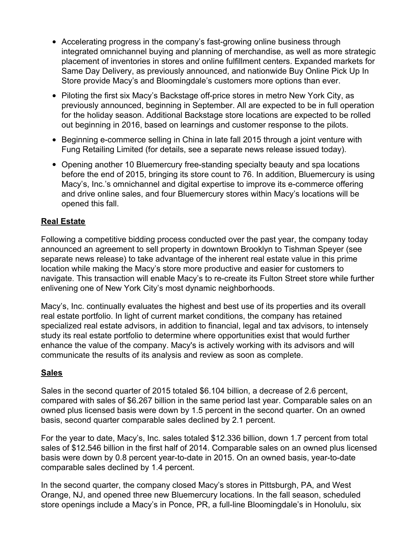- Accelerating progress in the company's fast-growing online business through integrated omnichannel buying and planning of merchandise, as well as more strategic placement of inventories in stores and online fulfillment centers. Expanded markets for Same Day Delivery, as previously announced, and nationwide Buy Online Pick Up In Store provide Macy's and Bloomingdale's customers more options than ever.
- Piloting the first six Macy's Backstage off-price stores in metro New York City, as previously announced, beginning in September. All are expected to be in full operation for the holiday season. Additional Backstage store locations are expected to be rolled out beginning in 2016, based on learnings and customer response to the pilots.
- Beginning e-commerce selling in China in late fall 2015 through a joint venture with Fung Retailing Limited (for details, see a separate news release issued today).
- Opening another 10 Bluemercury free-standing specialty beauty and spa locations before the end of 2015, bringing its store count to 76. In addition, Bluemercury is using Macy's, Inc.'s omnichannel and digital expertise to improve its e-commerce offering and drive online sales, and four Bluemercury stores within Macy's locations will be opened this fall.

## **Real Estate**

Following a competitive bidding process conducted over the past year, the company today announced an agreement to sell property in downtown Brooklyn to Tishman Speyer (see separate news release) to take advantage of the inherent real estate value in this prime location while making the Macy's store more productive and easier for customers to navigate. This transaction will enable Macy's to re-create its Fulton Street store while further enlivening one of New York City's most dynamic neighborhoods.

Macy's, Inc. continually evaluates the highest and best use of its properties and its overall real estate portfolio. In light of current market conditions, the company has retained specialized real estate advisors, in addition to financial, legal and tax advisors, to intensely study its real estate portfolio to determine where opportunities exist that would further enhance the value of the company. Macy's is actively working with its advisors and will communicate the results of its analysis and review as soon as complete.

#### **Sales**

Sales in the second quarter of 2015 totaled \$6.104 billion, a decrease of 2.6 percent, compared with sales of \$6.267 billion in the same period last year. Comparable sales on an owned plus licensed basis were down by 1.5 percent in the second quarter. On an owned basis, second quarter comparable sales declined by 2.1 percent.

For the year to date, Macy's, Inc. sales totaled \$12.336 billion, down 1.7 percent from total sales of \$12.546 billion in the first half of 2014. Comparable sales on an owned plus licensed basis were down by 0.8 percent year-to-date in 2015. On an owned basis, year-to-date comparable sales declined by 1.4 percent.

In the second quarter, the company closed Macy's stores in Pittsburgh, PA, and West Orange, NJ, and opened three new Bluemercury locations. In the fall season, scheduled store openings include a Macy's in Ponce, PR, a full-line Bloomingdale's in Honolulu, six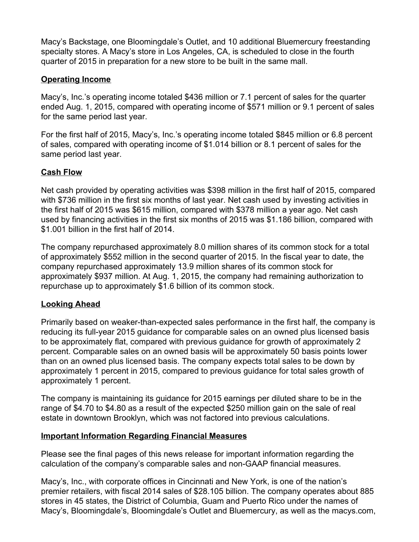Macy's Backstage, one Bloomingdale's Outlet, and 10 additional Bluemercury freestanding specialty stores. A Macy's store in Los Angeles, CA, is scheduled to close in the fourth quarter of 2015 in preparation for a new store to be built in the same mall.

### **Operating Income**

Macy's, Inc.'s operating income totaled \$436 million or 7.1 percent of sales for the quarter ended Aug. 1, 2015, compared with operating income of \$571 million or 9.1 percent of sales for the same period last year.

For the first half of 2015, Macy's, Inc.'s operating income totaled \$845 million or 6.8 percent of sales, compared with operating income of \$1.014 billion or 8.1 percent of sales for the same period last year.

### **Cash Flow**

Net cash provided by operating activities was \$398 million in the first half of 2015, compared with \$736 million in the first six months of last year. Net cash used by investing activities in the first half of 2015 was \$615 million, compared with \$378 million a year ago. Net cash used by financing activities in the first six months of 2015 was \$1.186 billion, compared with \$1.001 billion in the first half of 2014.

The company repurchased approximately 8.0 million shares of its common stock for a total of approximately \$552 million in the second quarter of 2015. In the fiscal year to date, the company repurchased approximately 13.9 million shares of its common stock for approximately \$937 million. At Aug. 1, 2015, the company had remaining authorization to repurchase up to approximately \$1.6 billion of its common stock.

### **Looking Ahead**

Primarily based on weaker-than-expected sales performance in the first half, the company is reducing its full-year 2015 guidance for comparable sales on an owned plus licensed basis to be approximately flat, compared with previous guidance for growth of approximately 2 percent. Comparable sales on an owned basis will be approximately 50 basis points lower than on an owned plus licensed basis. The company expects total sales to be down by approximately 1 percent in 2015, compared to previous guidance for total sales growth of approximately 1 percent.

The company is maintaining its guidance for 2015 earnings per diluted share to be in the range of \$4.70 to \$4.80 as a result of the expected \$250 million gain on the sale of real estate in downtown Brooklyn, which was not factored into previous calculations.

#### **Important Information Regarding Financial Measures**

Please see the final pages of this news release for important information regarding the calculation of the company's comparable sales and non-GAAP financial measures.

Macy's, Inc., with corporate offices in Cincinnati and New York, is one of the nation's premier retailers, with fiscal 2014 sales of \$28.105 billion. The company operates about 885 stores in 45 states, the District of Columbia, Guam and Puerto Rico under the names of Macy's, Bloomingdale's, Bloomingdale's Outlet and Bluemercury, as well as the macys.com,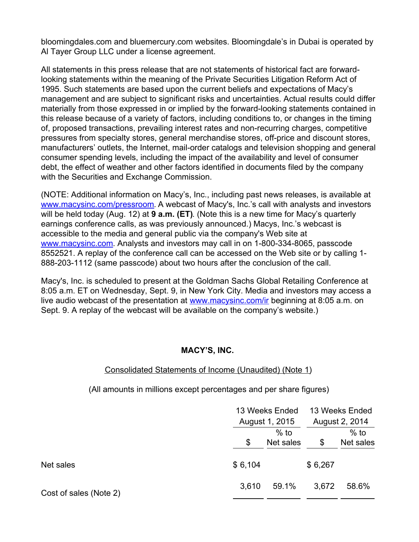bloomingdales.com and bluemercury.com websites. Bloomingdale's in Dubai is operated by Al Tayer Group LLC under a license agreement.

All statements in this press release that are not statements of historical fact are forwardlooking statements within the meaning of the Private Securities Litigation Reform Act of 1995. Such statements are based upon the current beliefs and expectations of Macy's management and are subject to significant risks and uncertainties. Actual results could differ materially from those expressed in or implied by the forward-looking statements contained in this release because of a variety of factors, including conditions to, or changes in the timing of, proposed transactions, prevailing interest rates and non-recurring charges, competitive pressures from specialty stores, general merchandise stores, off-price and discount stores, manufacturers' outlets, the Internet, mail-order catalogs and television shopping and general consumer spending levels, including the impact of the availability and level of consumer debt, the effect of weather and other factors identified in documents filed by the company with the Securities and Exchange Commission.

(NOTE: Additional information on Macy's, Inc., including past news releases, is available at [www.macysinc.com/pressroom](http://www.macysinc.com/pressroom). A webcast of Macy's, Inc.'s call with analysts and investors will be held today (Aug. 12) at **9 a.m. (ET)**. (Note this is a new time for Macy's quarterly earnings conference calls, as was previously announced.) Macys, Inc.'s webcast is accessible to the media and general public via the company's Web site at [www.macysinc.com](http://www.macysinc.com). Analysts and investors may call in on 1-800-334-8065, passcode 8552521. A replay of the conference call can be accessed on the Web site or by calling 1- 888-203-1112 (same passcode) about two hours after the conclusion of the call.

Macy's, Inc. is scheduled to present at the Goldman Sachs Global Retailing Conference at 8:05 a.m. ET on Wednesday, Sept. 9, in New York City. Media and investors may access a live audio webcast of the presentation at [www.macysinc.com/ir](http://www.macysinc.com/ir) beginning at 8:05 a.m. on Sept. 9. A replay of the webcast will be available on the company's website.)

### **MACY'S, INC.**

#### Consolidated Statements of Income (Unaudited) (Note 1)

(All amounts in millions except percentages and per share figures)

|                        |         | 13 Weeks Ended<br>August 1, 2015 | 13 Weeks Ended<br>August 2, 2014 |                     |  |
|------------------------|---------|----------------------------------|----------------------------------|---------------------|--|
|                        | \$      | $%$ to<br>Net sales              | \$                               | $%$ to<br>Net sales |  |
| Net sales              | \$6,104 |                                  | \$6,267                          |                     |  |
| Cost of sales (Note 2) | 3,610   | 59.1%                            | 3,672                            | 58.6%               |  |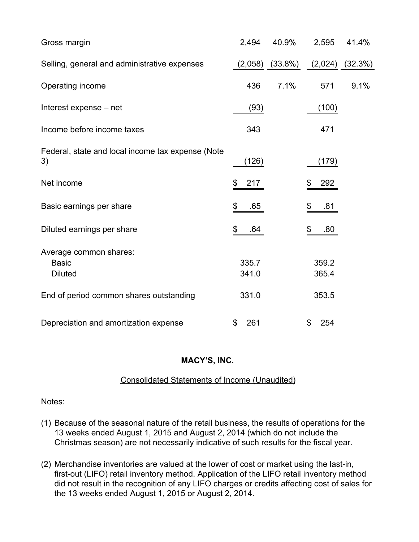| Gross margin                                             | 2,494          | 40.9%      | 2,595          | 41.4%   |
|----------------------------------------------------------|----------------|------------|----------------|---------|
| Selling, general and administrative expenses             | (2,058)        | $(33.8\%)$ | (2,024)        | (32.3%) |
| Operating income                                         | 436            | 7.1%       | 571            | 9.1%    |
| Interest expense – net                                   | (93)           |            | (100)          |         |
| Income before income taxes                               | 343            |            | 471            |         |
| Federal, state and local income tax expense (Note<br>3)  | (126)          |            | (179)          |         |
| Net income                                               | \$<br>217      |            | 292<br>\$      |         |
| Basic earnings per share                                 | \$<br>.65      |            | \$<br>.81      |         |
| Diluted earnings per share                               | \$<br>.64      |            | \$<br>.80      |         |
| Average common shares:<br><b>Basic</b><br><b>Diluted</b> | 335.7<br>341.0 |            | 359.2<br>365.4 |         |
| End of period common shares outstanding                  | 331.0          |            | 353.5          |         |
| Depreciation and amortization expense                    | \$<br>261      |            | 254<br>\$      |         |

# **MACY'S, INC.**

#### Consolidated Statements of Income (Unaudited)

Notes:

- (1) Because of the seasonal nature of the retail business, the results of operations for the 13 weeks ended August 1, 2015 and August 2, 2014 (which do not include the Christmas season) are not necessarily indicative of such results for the fiscal year.
- (2) Merchandise inventories are valued at the lower of cost or market using the last-in, first-out (LIFO) retail inventory method. Application of the LIFO retail inventory method did not result in the recognition of any LIFO charges or credits affecting cost of sales for the 13 weeks ended August 1, 2015 or August 2, 2014.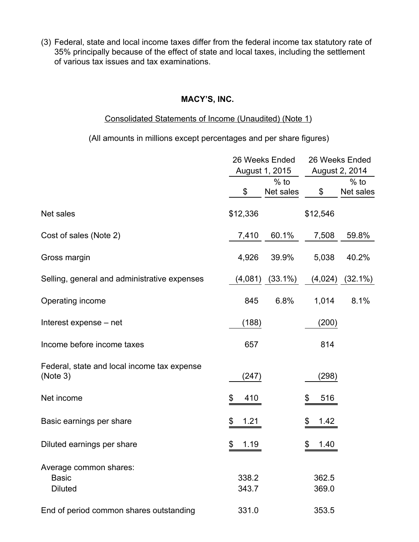(3) Federal, state and local income taxes differ from the federal income tax statutory rate of 35% principally because of the effect of state and local taxes, including the settlement of various tax issues and tax examinations.

#### **MACY'S, INC.**

#### Consolidated Statements of Income (Unaudited) (Note 1)

(All amounts in millions except percentages and per share figures)

|                                                          |                | 26 Weeks Ended      | 26 Weeks Ended |                     |  |
|----------------------------------------------------------|----------------|---------------------|----------------|---------------------|--|
|                                                          |                | August 1, 2015      | August 2, 2014 |                     |  |
|                                                          | \$             | $%$ to<br>Net sales | \$             | $%$ to<br>Net sales |  |
| Net sales                                                | \$12,336       |                     | \$12,546       |                     |  |
| Cost of sales (Note 2)                                   | 7,410          | 60.1%               | 7,508          | 59.8%               |  |
| Gross margin                                             | 4,926          | 39.9%               | 5,038          | 40.2%               |  |
| Selling, general and administrative expenses             | (4,081)        | $(33.1\%)$          | (4,024)        | $(32.1\%)$          |  |
| Operating income                                         | 845            | 6.8%                | 1,014          | 8.1%                |  |
| Interest expense – net                                   | (188)          |                     | (200)          |                     |  |
| Income before income taxes                               | 657            |                     | 814            |                     |  |
| Federal, state and local income tax expense<br>(Note 3)  | (247)          |                     | (298)          |                     |  |
| Net income                                               | \$<br>410      |                     | \$<br>516      |                     |  |
| Basic earnings per share                                 | \$<br>1.21     |                     | \$<br>1.42     |                     |  |
| Diluted earnings per share                               | \$<br>1.19     |                     | \$<br>1.40     |                     |  |
| Average common shares:<br><b>Basic</b><br><b>Diluted</b> | 338.2<br>343.7 |                     | 362.5<br>369.0 |                     |  |
| End of period common shares outstanding                  | 331.0          |                     | 353.5          |                     |  |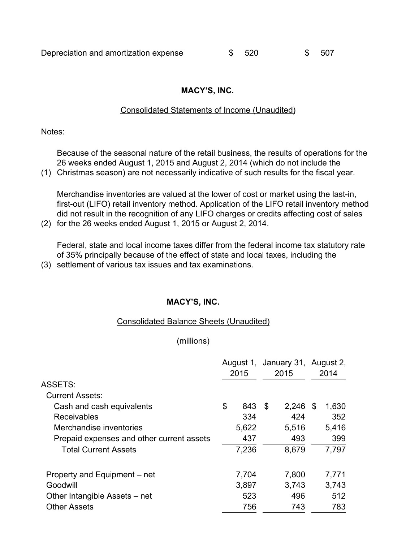# **MACY'S, INC.**

### Consolidated Statements of Income (Unaudited)

Notes:

Because of the seasonal nature of the retail business, the results of operations for the 26 weeks ended August 1, 2015 and August 2, 2014 (which do not include the

(1) Christmas season) are not necessarily indicative of such results for the fiscal year.

Merchandise inventories are valued at the lower of cost or market using the last-in, first-out (LIFO) retail inventory method. Application of the LIFO retail inventory method did not result in the recognition of any LIFO charges or credits affecting cost of sales

(2) for the 26 weeks ended August 1, 2015 or August 2, 2014.

(3) settlement of various tax issues and tax examinations. Federal, state and local income taxes differ from the federal income tax statutory rate of 35% principally because of the effect of state and local taxes, including the

# **MACY'S, INC.**

### Consolidated Balance Sheets (Unaudited)

### (millions)

|                                           | 2015 |       | August 1, January 31, August 2,<br>2015 |            | 2014 |       |
|-------------------------------------------|------|-------|-----------------------------------------|------------|------|-------|
| ASSETS:                                   |      |       |                                         |            |      |       |
| <b>Current Assets:</b>                    |      |       |                                         |            |      |       |
| Cash and cash equivalents                 | \$   | 843   | \$                                      | $2,246$ \$ |      | 1,630 |
| <b>Receivables</b>                        |      | 334   |                                         | 424        |      | 352   |
| Merchandise inventories                   |      | 5,622 |                                         | 5,516      |      | 5,416 |
| Prepaid expenses and other current assets |      | 437   |                                         | 493        |      | 399   |
| <b>Total Current Assets</b>               |      | 7,236 |                                         | 8,679      |      | 7,797 |
| Property and Equipment – net              |      | 7,704 |                                         | 7,800      |      | 7,771 |
| Goodwill                                  |      | 3,897 |                                         | 3,743      |      | 3,743 |
| Other Intangible Assets – net             |      | 523   |                                         | 496        |      | 512   |
| <b>Other Assets</b>                       |      | 756   |                                         | 743        |      | 783   |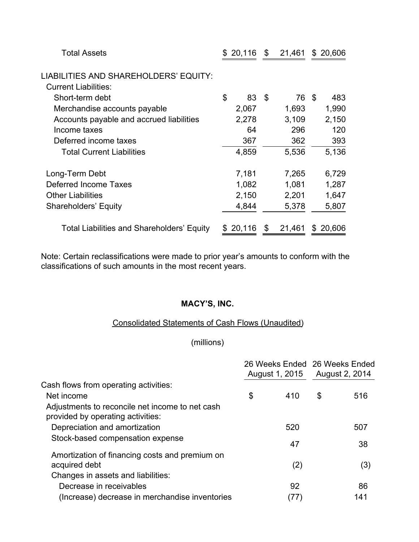| <b>Total Assets</b>                               | \$ 20,116 | \$<br>21,461 |     | \$ 20,606 |
|---------------------------------------------------|-----------|--------------|-----|-----------|
| LIABILITIES AND SHAREHOLDERS' EQUITY:             |           |              |     |           |
| <b>Current Liabilities:</b>                       |           |              |     |           |
| Short-term debt                                   | \$<br>83  | \$<br>76 \$  |     | 483       |
| Merchandise accounts payable                      | 2,067     | 1,693        |     | 1,990     |
| Accounts payable and accrued liabilities          | 2,278     | 3,109        |     | 2,150     |
| Income taxes                                      | 64        | 296          |     | 120       |
| Deferred income taxes                             | 367       | 362          |     | 393       |
| <b>Total Current Liabilities</b>                  | 4,859     | 5,536        |     | 5,136     |
| Long-Term Debt                                    | 7,181     | 7,265        |     | 6,729     |
| Deferred Income Taxes                             | 1,082     | 1,081        |     | 1,287     |
| <b>Other Liabilities</b>                          | 2,150     | 2,201        |     | 1,647     |
| <b>Shareholders' Equity</b>                       | 4,844     | 5,378        |     | 5,807     |
| <b>Total Liabilities and Shareholders' Equity</b> | \$20,116  | \$<br>21,461 | \$. | 20,606    |

Note: Certain reclassifications were made to prior year's amounts to conform with the classifications of such amounts in the most recent years.

# **MACY'S, INC.**

# Consolidated Statements of Cash Flows (Unaudited)

#### (millions)

|                                                                                      |    | August 1, 2015 August 2, 2014 |    | 26 Weeks Ended 26 Weeks Ended |  |
|--------------------------------------------------------------------------------------|----|-------------------------------|----|-------------------------------|--|
| Cash flows from operating activities:                                                |    |                               |    |                               |  |
| Net income                                                                           | \$ | 410                           | \$ | 516                           |  |
| Adjustments to reconcile net income to net cash<br>provided by operating activities: |    |                               |    |                               |  |
| Depreciation and amortization                                                        |    | 520                           |    | 507                           |  |
| Stock-based compensation expense                                                     |    | 47                            |    | 38                            |  |
| Amortization of financing costs and premium on<br>acquired debt                      |    | (2)                           |    | (3)                           |  |
| Changes in assets and liabilities:                                                   |    |                               |    |                               |  |
| Decrease in receivables                                                              |    | 92                            |    | 86                            |  |
| (Increase) decrease in merchandise inventories                                       |    | $\frac{1}{2}$                 |    | 141                           |  |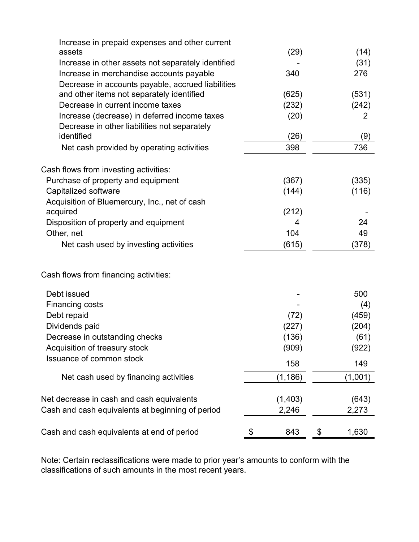| Increase in prepaid expenses and other current     |           |             |
|----------------------------------------------------|-----------|-------------|
| assets                                             | (29)      | (14)        |
| Increase in other assets not separately identified |           | (31)        |
| Increase in merchandise accounts payable           | 340       | 276         |
| Decrease in accounts payable, accrued liabilities  |           |             |
| and other items not separately identified          | (625)     | (531)       |
| Decrease in current income taxes                   | (232)     | (242)       |
| Increase (decrease) in deferred income taxes       | (20)      | 2           |
| Decrease in other liabilities not separately       |           |             |
| identified                                         | (26)      | (9)         |
| Net cash provided by operating activities          | 398       | 736         |
| Cash flows from investing activities:              |           |             |
| Purchase of property and equipment                 | (367)     | (335)       |
| Capitalized software                               | (144)     | (116)       |
| Acquisition of Bluemercury, Inc., net of cash      |           |             |
| acquired                                           | (212)     |             |
| Disposition of property and equipment              | 4         | 24          |
| Other, net                                         | 104       | 49          |
| Net cash used by investing activities              | (615)     | (378)       |
| Cash flows from financing activities:              |           |             |
| Debt issued                                        |           | 500         |
| <b>Financing costs</b>                             |           | (4)         |
| Debt repaid                                        | (72)      | (459)       |
| Dividends paid                                     | (227)     | (204)       |
| Decrease in outstanding checks                     | (136)     | (61)        |
| Acquisition of treasury stock                      | (909)     | (922)       |
| Issuance of common stock                           | 158       | 149         |
| Net cash used by financing activities              | (1, 186)  | (1,001)     |
| Net decrease in cash and cash equivalents          | (1,403)   | (643)       |
| Cash and cash equivalents at beginning of period   | 2,246     | 2,273       |
|                                                    |           |             |
| Cash and cash equivalents at end of period         | \$<br>843 | 1,630<br>\$ |

Note: Certain reclassifications were made to prior year's amounts to conform with the classifications of such amounts in the most recent years.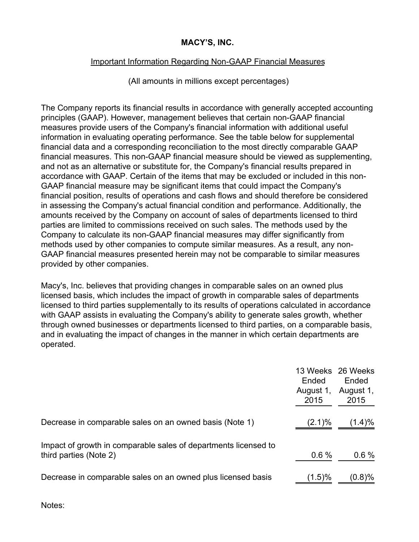# **MACY'S, INC.**

#### Important Information Regarding Non-GAAP Financial Measures

(All amounts in millions except percentages)

The Company reports its financial results in accordance with generally accepted accounting principles (GAAP). However, management believes that certain non-GAAP financial measures provide users of the Company's financial information with additional useful information in evaluating operating performance. See the table below for supplemental financial data and a corresponding reconciliation to the most directly comparable GAAP financial measures. This non-GAAP financial measure should be viewed as supplementing, and not as an alternative or substitute for, the Company's financial results prepared in accordance with GAAP. Certain of the items that may be excluded or included in this non-GAAP financial measure may be significant items that could impact the Company's financial position, results of operations and cash flows and should therefore be considered in assessing the Company's actual financial condition and performance. Additionally, the amounts received by the Company on account of sales of departments licensed to third parties are limited to commissions received on such sales. The methods used by the Company to calculate its non-GAAP financial measures may differ significantly from methods used by other companies to compute similar measures. As a result, any non-GAAP financial measures presented herein may not be comparable to similar measures provided by other companies.

Macy's, Inc. believes that providing changes in comparable sales on an owned plus licensed basis, which includes the impact of growth in comparable sales of departments licensed to third parties supplementally to its results of operations calculated in accordance with GAAP assists in evaluating the Company's ability to generate sales growth, whether through owned businesses or departments licensed to third parties, on a comparable basis, and in evaluating the impact of changes in the manner in which certain departments are operated.

|                                                                                           | Ended<br>August 1,<br>2015 | 13 Weeks 26 Weeks<br>Ended<br>August 1,<br>2015 |
|-------------------------------------------------------------------------------------------|----------------------------|-------------------------------------------------|
| Decrease in comparable sales on an owned basis (Note 1)                                   | $(2.1)\%$                  | $(1.4)\%$                                       |
| Impact of growth in comparable sales of departments licensed to<br>third parties (Note 2) | 0.6%                       | $0.6 \%$                                        |
| Decrease in comparable sales on an owned plus licensed basis                              | $(1.5)\%$                  | (0.8)%                                          |

Notes: